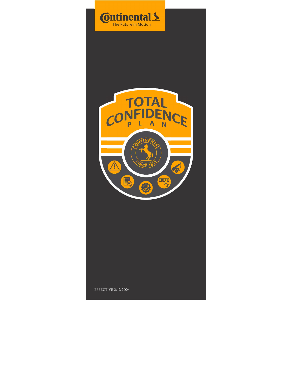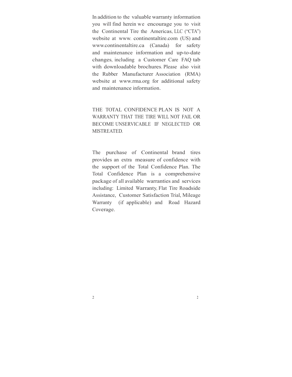In addition to the valuable warranty information you will find herein we encourage you to visit the Continental Tire the Americas, LLC ("CTA") website at www. continentaltire.com (US) and www.continentaltire.ca (Canada) for safety and maintenance information and up-to-date changes, including a Customer Care FAQ tab with downloadable brochures. Please also visit the Rubber Manufacturer Association (RMA) website at www.rma.org for additional safety and maintenance information.

THE TOTAL CONFIDENCE PLAN IS NOT A WARRANTY THAT THE TIRE WILL NOT FAIL OR BECOME UNSERVICABLE IF NEGLECTED OR MISTREATED.

The purchase of Continental brand tires provides an extra measure of confidence with the support of the Total Confidence Plan. The Total Confidence Plan is a comprehensive package of all available warranties and services including: Limited Warranty, Flat Tire Roadside Assistance, Customer Satisfaction Trial, Mileage Warranty (if applicable) and Road Hazard Coverage.

 $2\overline{2}$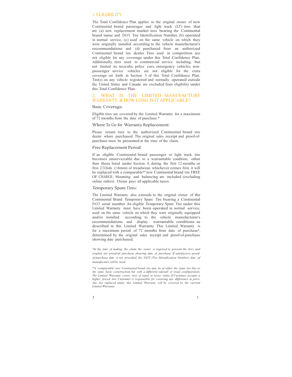### 1. ELIGIBILITY

The Total Confidence Plan applies to the original owner of new Continental brand passenger and light truck (LT) tires that are (a) new replacement market tires bearing the Continental brand name and D.O.T. Tire Identification Number, (b) operated in normal service, (c) used on the same vehicle on which they were originally installed according to the vehicle manufacturer's recommendations and (d) purchased from an authorized Continental brand tire dealer. Tires used in competition are not eligible for any coverage under this Total Confidence Plan. Additionally, tires used in commercial service including, but not limited to, taxicabs, police cars, emergency vehicles, non- passenger service vehicles are not eligible for the extra coverage set forth in Section 3 of this Total Confidence Plan. Tire(s) on any vehicle registered and normally operated outside the United States and Canada are excluded from eligibility under this Total Confidence Plan.

# 2. WHAT IS THE LIMITED MANUFACTURE WARRANTY & HOW LONG IS IT APPLICABLE?

### Basic Coverage:

Eligible tires are covered by the Limited Warranty for a maximum of 72 months from the date of purchase.\*

# Where To Go for Warranty Replacement:

Please return tires to the authorized Continental brand tire dealer where purchased. The original sales receipt and proof-of-<br>purchase must be presented at the time of the claim.

### Free Replacement Period:

If an eligible Continental brand passenger or light truck tire becomes unserviceable due to a warrantable condition, other than those listed under Section 4, during the first 12 months or first 2/32nds (1.6mm) of treadwear, whichever comes first, it will be replaced with a comparable\*\* new Continental brand tire FREE OF CHARGE. Mounting and balancing are included (excluding online orders). Owner pays all applicable taxes.

# Temporary Spare Tires:

The Limited Warranty also extends to the original owner of the Continental Brand Temporary Spare Tire bearing a Continental D.O.T. serial number. An eligible Temporary Spare Tire under this Limited Warranty must have been operated in normal service, used on the same vehicle on which they were originally equipped and/or installed according to the vehicle manufacturer's recommendations, and display warrantable conditions as described in this Limited Warranty. This Limited Warranty is for a maximum period of 72 months from date of purchase\*, determined by the original sales receipt and proof-of-purchase showing date purchased.

\*At the time of making the claim, the owner is required to present the tires and original tire proof-of- purchase showing date of purchase. If satisfactory proof-<br>of-purchase date is not provided, the D.O.T. (Tire Identification Number) date of manufacture will be used.

\*\*A "comparable" new Continental brand tire may be of either the same tire line or the same basic construction but with a different sidewall or tread configuration. The Limited Warranty covers tires of equal or lesser value. If Customer accepts a higher priced tire, Customer is responsible for covering any difference in price. Any tire replaced under this Limited Warranty will be covered by the current Limited Warranty.

#### $3 \overline{3}$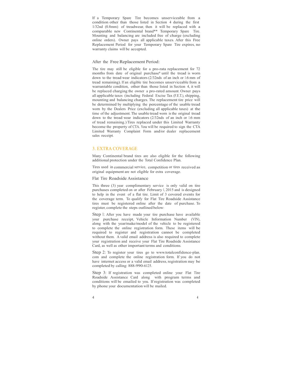If a Temporary Spare Tire becomes unserviceable from a condition other than those listed in Section 4 during the first 1/32nd (0.8mm) of treadwear, then it will be replaced with a comparable new Continental brand\*\* Temporary Spare Tire. Mounting and balancing are included free of charge (excluding online orders). Owner pays all applicable taxes. After this Free Replacement Period for your Temporary Spare Tire expires, no warranty claims will be accepted.

#### After the Free Replacement Period:

The tire may still be eligible for a pro-rata replacement for 72 months from date of original purchase\* until the tread is worn down to the tread wear indicators (2/32nds of an inch or 1.6 mm of tread remaining). If an eligible tire becomes unserviceable from a warrantable condition, other than those listed in Section 4, it will be replaced charging the owner a pro-rated amount. Owner pays all applicable taxes (including Federal Excise Tax (F.E.T.), shipping, mounting and balancing charges. The replacement tire price will be determined by multiplying the percentage of the usable tread worn by the Dealers Price (excluding all applicable taxes) at the time of the adjustment. The usable tread worn is the original tread down to the tread wear indicators (2/32nds of an inch or 1.6 mm of tread remaining.) Tires replaced under this Limited Warranty become the property of CTA. You will be required to sign the CTA Limited Warranty Complaint Form and/or dealer replacement sales receipt.

# 3. EXTRA COVERAGE

Many Continental brand tires are also eligible for the following additional protection under the Total Confidence Plan.

Tires used in commercial service, competition or tires received as original equipment are not eligible for extra coverage.

Flat Tire Roadside Assistance

This three (3) year complimentary service is only valid on tire purchases completed on or after February 1, 2015 and is designed to help in the event of a flat tire. Limit of 3 covered events for the coverage term. To qualify for Flat Tire Roadside Assistance tires must be registered online after the date of purchase. To register, complete the steps outlined below:

Step 1: After you have made your tire purchase have available your purchase receipt, Vehicle Information Number (VIN), along with the year/make/model of the vehicle to be registered to complete the online registration form. These items will be required to register and registration cannot be completed without them. A valid email address is also required to complete your registration and receive your Flat Tire Roadside Assistance Card, as well as other important terms and conditions.

Step 2: To register your tires go to www.totalconfidence-plan. com and complete the online registration form. If you do not have internet access or a valid email address, registration may be completed by calling: 888-990-6125.

Step 3: If registration was completed online your Flat Tire Roadside Assistance Card along with program terms and conditions will be emailed to you. If registration was completed by phone your documentation will be mailed.

 $4\overline{4}$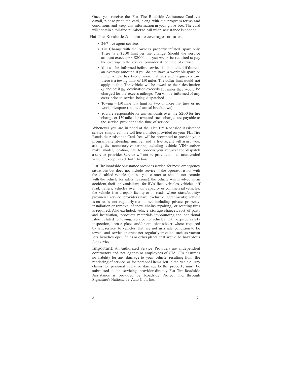Once you receive the Flat Tire Roadside Assistance Card via e-mail, please print the card, along with the program terms and conditions, and keep this information in your glove box. The card will contain a toll-free number to call when assistance is needed.

Flat Tire Roadside Assistance coverage includes:

- 24/7 live agent service;
- Tire Change with the owner's properly inflated spare only. There is a \$200 limit per tire change. Should the service amount exceed the \$200 limit, you would be required to pay the overage to the service provider at the time of service.
- You will be informed before service is dispatched if there is an overage amount. If you do not have a workable spare or if the vehicle has two or more flat tires and requires a tow, there is a towing limit of 150 miles. The dollar limit would not apply to this. The vehicle will be towed to their destination of choice; if the destination exceeds 150 miles they would be charged for the excess mileage. You will be informed of any costs prior to service being dispatched.
- Towing 150 mile tow limit for two or more flat tires or no workable spare (no mechanical breakdown).
- You are responsible for any amounts over the \$200 for tire change or 150 miles for tow; and such charges are payable to the service provider at the time of service.

Whenever you are in need of the Flat Tire Roadside Assistance service simply call the toll free number provided on your Flat Tire Roadside Assistance Card. You will be prompted to provide your program membership number and a live agent will assist you, asking the necessary questions, including vehicle VIN number, make, model, location, etc., to process your request and dispatch a service provider. Service will not be provided on an unattended vehicle, except as set forth below.

Flat Tire Roadside Assistance provides service for most emergency situations but does not include service if: the operator is not with the disabled vehicle (unless you cannot or should not remain with the vehicle for safety reasons); the vehicle was involved in an accident, theft or vandalism; for RV's, fleet vehicles, vehicles off road, trailers; vehicles over 1 ton capacity, or commercial vehicles; the vehicle is at a repair facility or on roads where state/county/ provincial service providers have exclusive agreements; vehicle is on roads not regularly maintained including private property; installation or removal of snow chains, repairing, or rotating tires is required. Also excluded: vehicle storage charges, cost of parts and installation, products, materials, impounding and additional labor related to towing; service to vehicles with expired safety inspection, license plate, and/or emission sticker where required by law; service to vehicles that are not in a safe condition to be towed; and service in areas not regularly traveled, such as vacant lots, beaches, open fields or other places that would be hazardous for service.

Important: All Authorized Service Providers are independent contractors and not agents or employees of CTA. CTA assumes no liability for any damage to your vehicle resulting from the rendering of service or for personal items left in the vehicle. Any claims for personal injury or damage to the property must be submitted to the servicing provider directly. Flat Tire Roadside Assistance is provided by Roadside Protect, Inc. through Signature's Nationwide Auto Club, Inc.

 $5 \hspace{2.5cm} 5$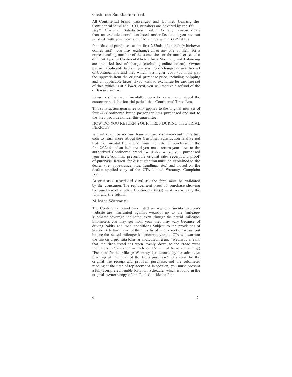Customer Satisfaction Trial:

All Continental brand passenger and LT tires bearing the Continental name and D.O.T. numbers are covered by the 60 Day\*\*\* Customer Satisfaction Trial. If for any reason, other than an excluded condition listed under Section 4, you are not satisfied with your new set of four tires within 60\*\*\* days

from date of purchase - or the first 2/32nds of an inch (whichever comes first) - you may exchange all or any one of them for a corresponding number of the same tires or for another set of <sup>a</sup> different type of Continental brand tires. Mounting and balancing are included free of charge (excluding online orders). Owner pays-all applicable taxes. If you wish to exchange for another set of Continental brand tires which is a higher cost, you must pay the upgrade from the original purchase price, including shipping and all applicable taxes. If you wish to exchange for another set of tires which is at a lower cost, you will receive a refund of the difference in cost.

Please visit www.continentaltire.com to learn more about the customer satisfaction trial period that Continental Tire offers.

This satisfaction guarantee only applies to the original new set of four (4) Continental brand passenger tires purchased and not to the tires provided under this guarantee.

#### HOW DO YOU RETURN YOUR TIRES DURING THE TRIAL PERIOD?

Within the authorized time frame (please visit www.continentaltire. com to learn more about the Customer Satisfaction Trial Period that Continental Tire offers) from the date of purchase or the first 2/32nds of an inch tread you must return your tires to the authorized Continental brand tire dealer where you purchased your tires. You must present the original sales receipt and proof- of-purchase. Reason for dissatisfaction must be explained to the dealer (i.e., appearance, ride, handling, etc.) and noted on the dealer-supplied copy of the CTA Limited Warranty Complaint Form.

Attention authorized dealers: the form must be validated by the consumer. The replacement proof-of -purchase showing the purchase of another Continental tire(s) must accompany the form and tire return. Mileage Warranty:

The Continental brand tires listed on www.continentaltire.com's website are warranted against wearout up to the mileage/ kilometer coverage indicated, even though the actual mileage/ kilometers you may get from your tires may vary because of driving habits and road conditions. Subject to the provisions of Section 4 below, if one of the tires listed in this section wears out before the stated mileage/ kilometer coverage, CTA will warrant the tire on a pro-rata basis as indicated herein. "Wearout" means that the tire's tread has worn evenly down to the tread wear indicators (2/32nds of an inch or 1.6 mm of tread remaining.)<br>"Pro-rata" for this Mileage Warranty is measured by the odometer readings at the time of the tire's purchase\*, as shown by the original tire receipt and proof-of-purchase, and the odometer reading at the time of replacement. In addition, you must present a fully completed, legible Rotation Schedule, which is found in the original owner's copy of the Total Confidence Plan.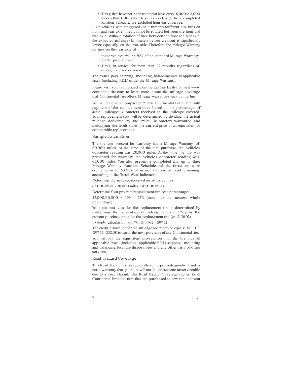• Tire(s) that have not been rotated at least every 6,000 to 8,000 miles (10–13,000 Kilometers), as evidenced by a completed Rotation Schedule, are excluded from this coverage.

• On vehicles with staggered / split fitments (different size tires on front and rear axle), tires cannot be rotated between the front and rear axle. Without rotation of tires between the front and rear axle, the expected mileage / kilometers before wearout is significantly lower, especially on the rear axle. Therefore, the Mileage Warranty for tires on the rear axle of

these vehicles will be 50% of the standard Mileage Warranty for the product line.

• Tire(s) in service for more than 72 months, regardless of mileage, are not covered.

The owner pays shipping, mounting, balancing and all applicable taxes (including F.E.T.) under the Mileage Warranty.

Please visit your authorized Continental Tire Dealer or visit www. continentaltire.com to learn more about the mileage coverage that Continental Tire offers. Mileage warranties vary by tire line.

You will receive a comparable\*\* new Continental Brand tire with payment of the replacement price based on the percentage of actual mileage/ kilometers received to the mileage covered. Your replacement cost will be determined by dividing the actual mileage delivered by the miles/ kilometers warranted and multiplying the result times the current price of an equivalent or comparable replacement.

### Sample Calculation:

The tire you present for warranty has a Mileage Warranty of 60,000 miles. At the time of the tire purchase, the vehicle's odometer reading was 20,000 miles. At the time the tire was presented for warranty, the vehicle's odometer reading was 65,000 miles. You also present a complete Mileage Warranty Rotation Schedule and the tire(s) are worn evenly down to 2/32nds of an inch (1.6mm) of tread remaining, according to the Tread Wear Indicators.

Determine the mileage received on adjusted tires:

65,000 miles - 20,000 miles = 45,000 miles

Determine Your pro-rata replacement tire cost percentage:

 $45,000/60,000 \times 100 = 75\%$  (round to the nearest whole percentage)

Your pro rata cost for the replacement tire is determined by multiplying the percentage of mileage received (75%) by the current purchase price for the replacement tire (ex. \$130.02)

Example calculation is:  $75\%$  x  $$130.02 = $97.52$ 

The credit allowance for the mileage not received equals: \$130.02 -\$97.52 =\$32.50 towards the next purchase of any Continental tire.

You will pay the equivalent pro-rata cost for the tire plus all applicable taxes (including applicable F.E.T.) shipping, mounting and balancing, local tire disposal fees and any other parts or other services.

### Road Hazard Coverage:

This Road Hazard Coverage is offered to promote goodwill and is not a warranty that your tire will not fail or become unserviceable due to a Road Hazard. This Road Hazard Coverage applies to all Continental branded tires that are purchased as new replacement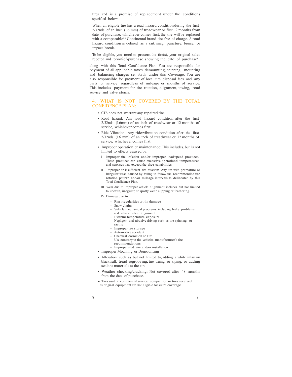tires and is a promise of replacement under the conditions specified below.

When an eligible tire has a road hazard condition during the first 2/32nds of an inch (1.6 mm) of treadwear or first 12 months from date of purchase, whichever comes first, the tire will be replaced with a comparable\*\* Continental brand tire free of charge. A road hazard condition is defined as a cut, snag, puncture, bruise, or impact break.

To be eligible, you need to present the tire(s), your original sales receipt and proof-of-purchase showing the date of purchase\*

along with this Total Confidence Plan. You are responsible for payment of all applicable taxes, demounting, shipping, mounting and balancing charges set forth under this Coverage. You are also responsible for payment of local tire disposal fees and any parts or service regardless of mileage or months of service. This includes payment for tire rotation, alignment, towing, road service and valve stems.

# 4. WHAT IS NOT COVERED BY THE TOTAL CONFIDENCE PLAN:

- CTA does not warrant any repaired tire.
- Road hazard: Any road hazard condition after the first 2/32nds (1.6mm) of an inch of treadwear or 12 months of service, whichever comes first.
- Ride Vibration: Any ride/vibration condition after the first 2/32nds (1.6 mm) of an inch of treadwear or 12 months of service, whichever comes first.
- Improper operation or maintenance: This includes, but is not limited to, effects caused by:
	- I Improper tire inflation and/or improper load/speed practices. These practices can cause excessive operational temperatures and stresses that exceed the tire's capabilities.
	- II Improper or insufficient tire rotation: Any tire with premature or rotation pattern and/or mileage intervals as delineated by this Total Confidence Plan.
	- III Wear due to Improper vehicle alignment: includes but not limited to uneven, irregular, or spotty wear, cupping or feathering.
- IV Damage due to:
	- Rim irregularities or rim damage
	- Snow chains
	- Vehicle mechanical problems, including brake problems, and vehicle wheel alignment
	- Extreme temperature exposure
	- Negligent and abusive driving such as tire spinning, or racing
	- Improper tire storage
	- Automotive accident
	- Chemical corrosion or Fire
	- Use contrary to the vehicles manufacturer's tire recommendations
	- Improper stud size and/or installation
- Improper Mounting or Demounting
- Alteration: such as, but not limited to, adding a white inlay on blackwall, tread regrooving, tire truing or siping, or adding sealant materials to the tire.
- Weather checking/cracking: Not covered after 48 months from the date of purchase.
- Tires used in commercial service, competition or tires received as original equipment are not eligible for extra coverage
-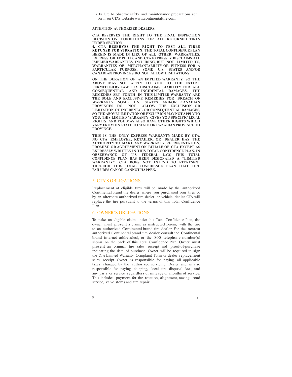• Failure to observe safety and maintenance precautions set forth on CTA's website www.continentaltire.com.

#### ATTENTION AUTHORIZED DEALERS:

CTA RESERVES THE RIGHT TO THE FINAL INSPECTION DECISION ON CONDITIONS FOR ALL RETURNED TIRES UNDER SECTION<br>4. CTA RESERVES THE RIGHT TO TEST ALL TIRES

• Failure to observe safety and maintenance precautions set<br>forth on CTA's website www.continentalitire.com.<br>CTA RESERVES THE RIGHT TO THE FINAL INSPECTION<br>DECISION ON CONDITIONS FOR ALL RETURNED TIRES<br>UNDER SECTION<br>THEREN • Failure to observe safety and maintenance precautions set<br>forth on CTA's website www.continentaltire.com.<br>TTENTION AUTHORIZED DEALERS:<br>DECISION ON CONDITIONS FOR ALL RETURNED TIRES<br>INDER SECTION<br>4. CTA RESERVES THE RIGHT HEREIN IS MADE IN LIEU OF ALL OTHER WARRANTIES, EXPRESS OR IMPLIED, AND CTA EXPRESSLY DISCLAIMS ALL IMPLIED WARRANTIES, INCLUDING, BUT NOT LIMITED TO, WARRANTIES OF MERCHANTABILITY OR FITNESS FOR A PARTICULAR PURPOSE. SOME U.S. STATES AND/OR CANADIAN PROVINCES DO NOT ALLOW LIMITATIONS

ON THE DURATION OF AN IMPLIED WARRANTY, SO THE ABOVE MAY NOT APPLY TO YOU. TO THE EXTENT PERMITTED BY LAW, CTA DISCLAIMS LIABILITY FOR ALL CONSEQUENTIAL AND INCIDENTAL DAMAGES. THE REMEDIES SET FORTH IN THIS LIMITED WARRANTY ARE THE SOLE AND EXCLUSIVE REMEDIES FOR BREACH OF WARRANTY. SOME U.S. STATES AND/OR CANADIAN PROVINCES DO NOT ALLOW THE EXCLUSION OR LIMITATION OF INCIDENTAL OR CONSEQUENTIAL DAMAGES, SO THE ABOVE LIMITATION OR EXCLUSION MAY NOT APPLY TO YOU. THIS LIMITED WARRANTY GIVES YOU SPECIFIC LEGAL RIGHTS, AND YOU MAY ALSO HAVE OTHER RIGHTS WHICH VARY FROM U.S. STATE TO STATE OR CANADIAN PROVINCE TO PROVINCE.

THIS IS THE ONLY EXPRESS WARRANTY MADE BY CTA. NO CTA EMPLOYEE, RETAILER, OR DEALER HAS THE AUTHORITY TO MAKE ANY WARRANTY, REPRESENTATION, PROMISE OR AGREEMENT ON BEHALF OF CTA EXCEPT AS EXPRESSLY WRITTEN IN THIS TOTAL CONFIDENCE PLAN. IN OBSERVANCE OF U.S. FEDERAL LAW, THIS TOTAL CONFIDENCE PLAN HAS BEEN DESIGNATED A "LIMITED WARRANTY". CTA DOES NOT INTEND TO REPRESENT THROUGH THIS TOTAL CONFIDENCE PLAN THAT TIRE FAILURES CAN OR CANNOT HAPPEN.

#### 5. CTA'S OBLIGATIONS

Replacement of eligible tires will be made by the authorized Continental brand tire dealer where you purchased your tires or by an alternate authorized tire dealer or vehicle dealer. CTA will replace the tire pursuant to the terms of this Total Confidence Plan.

# 6. OWNER'S OBLIGATIONS

To make an eligible claim under this Total Confidence Plan, the owner must present a claim, as instructed herein, with the tire to an authorized Continental brand tire dealer. For the nearest authorized Continental brand tire dealer, consult the Continental brand internet address(es), or the 800 telephone number(s) shown on the back of this Total Confidence Plan. Owner must present an original tire sales receipt and proof-of-purchase indicating the date of purchase. Owner will be required to sign the CTA Limited Warranty Complaint Form or dealer replacement sales receipt. Owner is responsible for paying all applicable taxes charged by the authorized servicing Dealer and is also responsible for paying shipping, local tire disposal fees, and any parts or service regardless of mileage or months of service. This includes payment for tire rotation, alignment, towing, road service, valve stems and tire repair.

 $9 \t\t 9$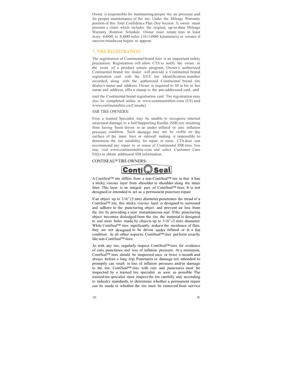Owner is responsible for maintaining proper tire air pressure and for proper maintenance of the tire. Under the Mileage Warranty portion of this Total Confidence Plan (See Section 3), owner must present a claim which includes the original, up-to-date Mileage Warranty Rotation Schedule. Owner must rotate tires at least every 6,000 to 8,000 miles (10-13,000 kilometers) or sooner if uneven treadwear begins to appear.

# 7. TIRE REGISTRATION

The registration of Continental brand tires is an important safety precaution. Registration will allow CTA to notify the owner in the event of a product return program. Owner's authorized Continental brand tire dealer will provide a Continental brand registration card with the D.O.T. tire identification number recorded, along with the authorized Continental brand tire dealer's name and address. Owner is required to fill in his or her name and address, affix a stamp to the pre-addressed card, and

mail the Continental brand registration card. Tire registration may also be completed online at www.continentaltire.com (US) and www.continentaltire.ca (Canada).

#### SSR TIRE OWNERS:

Even a trained Specialist may be unable to recognize internal structural damage to a Self Supporting Runflat (SSR) tire resulting from having been driven in an under inflated or zero inflation pressure condition. Such damage may not be visible on the surface of the inner liner or sidewall making it impossible to determine the tire suitability for repair or reuse. CTA does not recommend any repair to or reuse of Continental SSR tires. You may visit www.continentaltire.com and select Customer Care FAQ's to obtain additional SSR information.

# CONTISEAL™ TIRE OWNERS:



A ContiSeal™ tire differs from a non-ContiSeal™ tire in that it has a sticky, viscous layer from shoulder to shoulder along the inner liner. This layer is an integral part of ContiSeal™ tires. It is not designed or intended to act as a permanent puncture repair.

If an object up to 3/16" (5 mm) diameter penetrates the tread of a ContiSeal™ tire, this sticky, viscous layer is designed to surround and adhere to the puncturing object and prevent air loss from the tire by providing a near instantaneous seal. If the puncturing object becomes dislodged from the tire, the material is designed to seal most holes made by objects up to 3/16" (5 mm) diameter. While ContiSeal™ tires significantly reduce the incidence of flats, they are not designed to be driven under inflated or in a flat condition. In all other aspects, ContiSeal™ tires perform exactly like non-ContiSeal™ tires.

As with any tire, regularly inspect ContiSeal™ tires for evidence of cuts, punctures, and loss of inflation pressure. At a minimum, ContiSeal™ tires should be inspected once or twice a month and always before a long trip. Punctures or damage not attended to promptly can result in loss of inflation pressure and/or damage to the tire. ContiSeal™ tires with cuts and punctures must be inspected by a trained tire specialist as soon as possible The trained tire specialist must inspect the tire carefully and, according to industry standards, to determine whether a permanent repair can be made or whether the tire must be removed from service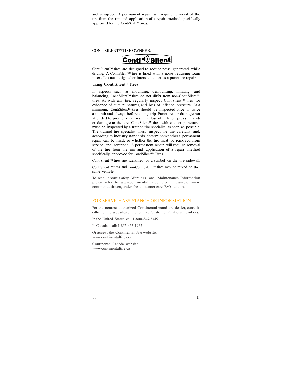and scrapped. A permanent repair will require removal of the tire from the rim and application of a repair method specifically approved for the ContiSeal™ tires.

CONTISILENT™ TIRE OWNERS:



ContiSilent™ tires are designed to reduce noise generated while driving. A ContiSilent™ tire is lined with a noise reducing foam insert. It is not designed or intended to act as a puncture repair.

# Using ContiSilent™ Tires

In aspects such as mounting, demounting, inflating, and balancing, ContiSilent™ tires do not differ from non-ContiSilent™ tires. As with any tire, regularly inspect ContiSilent™ tires for evidence of cuts, punctures, and loss of inflation pressure. At <sup>a</sup> minimum, ContiSilent™ tires should be inspected once or twice a month and always before a long trip. Punctures or damage not attended to promptly can result in loss of inflation pressure and/ or damage to the tire. ContiSilent™ tires with cuts or punctures must be inspected by a trained tire specialist as soon as possible. The trained tire specialist must inspect the tire carefully and, according to industry standards, determine whether a permanent repair can be made or whether the tire must be removed from service and scrapped. A permanent repair will require removal of the tire from the rim and application of a repair method specifically approved for ContiSilent™ Tires.

ContiSilent™ tires are identified by a symbol on the tire sidewall.

ContiSilent™ tires and non-ContiSilent™ tires may be mixed on the same vehicle.

To read about Safety Warnings and Maintenance Information please refer to www.continentaltire.com, or in Canada, www. continentaltire.ca, under the customer care FAQ section.

# FOR SERVICE ASSISTANCE OR INFORMATION

For the nearest authorized Continental brand tire dealer, consult either of the websites or the toll free Customer Relations numbers.

In the United States, call 1-800-847-3349

In Canada, call: 1-855-453-1962

Or access the Continental USA website: www.continentaltire.com

Continental Canada website: www.continentaltire.ca

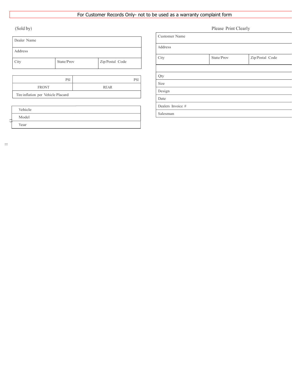# For Customer Records Only- not to be used as a warranty complaint form

| Dealer Name                        |            |                    | <b>Customer Name</b>   |   |  |
|------------------------------------|------------|--------------------|------------------------|---|--|
| Address                            |            |                    | Address                |   |  |
| City                               | State/Prov | Zip/Postal Code    | City                   | S |  |
|                                    |            |                    | Qty                    |   |  |
| <b>FRONT</b>                       | <b>PSI</b> | <b>PSI</b><br>REAR | Size                   |   |  |
| Tire inflation per Vehicle Placard |            |                    | Design<br>$\Gamma$ ate |   |  |

|    | Vehicle |  |
|----|---------|--|
| ∸  | Model   |  |
| Cφ | Year    |  |

| (Sold by)                          |                               |             |  | Please Print Clearly |            |                 |  |  |
|------------------------------------|-------------------------------|-------------|--|----------------------|------------|-----------------|--|--|
| Dealer Name                        |                               |             |  | <b>Customer Name</b> |            |                 |  |  |
| Address                            |                               |             |  | Address              |            |                 |  |  |
| City                               | Zip/Postal Code<br>State/Prov |             |  | City                 | State/Prov | Zip/Postal Code |  |  |
|                                    |                               |             |  | Qty                  |            |                 |  |  |
| PSI<br>PSI                         |                               |             |  | Size                 |            |                 |  |  |
| <b>FRONT</b>                       |                               | <b>REAR</b> |  | Design               |            |                 |  |  |
| Tire inflation per Vehicle Placard |                               |             |  |                      |            |                 |  |  |
|                                    |                               |             |  | Date                 |            |                 |  |  |
| Vehicle                            |                               |             |  | Dealers Invoice #    |            |                 |  |  |
| $\mathbf{X} \times \mathbf{X}$     |                               |             |  | Salesman             |            |                 |  |  |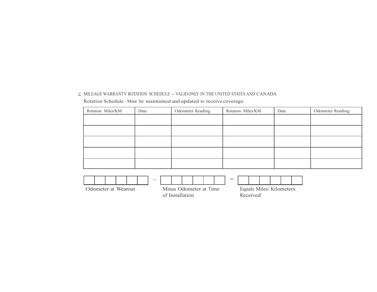| Rotation Miles/KM | Date | Odometer Reading | Rotation Miles/KM | Date | Odometer Reading |
|-------------------|------|------------------|-------------------|------|------------------|
|                   |      |                  |                   |      |                  |
|                   |      |                  |                   |      |                  |
|                   |      |                  |                   |      |                  |
|                   |      |                  |                   |      |                  |
|                   |      |                  |                   |      |                  |



of Installation

Equals Miles/ Kilometers Received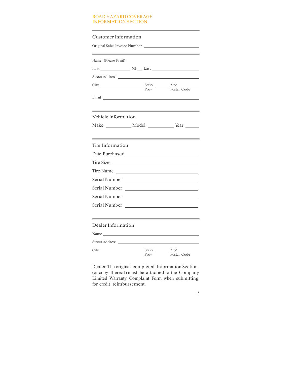# ROAD HAZARD COVERAGE INFORMATION SECTION

| <b>Customer Information</b>                                                                                                                                                                                                    |      |             |
|--------------------------------------------------------------------------------------------------------------------------------------------------------------------------------------------------------------------------------|------|-------------|
| Name (Please Print)                                                                                                                                                                                                            |      |             |
|                                                                                                                                                                                                                                |      |             |
|                                                                                                                                                                                                                                |      |             |
|                                                                                                                                                                                                                                | Prov | Postal Code |
| Email and the contract of the contract of the contract of the contract of the contract of the contract of the contract of the contract of the contract of the contract of the contract of the contract of the contract of the  |      |             |
| Vehicle Information                                                                                                                                                                                                            |      |             |
| Make ___________ Model ____________ Year ______                                                                                                                                                                                |      |             |
| Tire Information                                                                                                                                                                                                               |      |             |
|                                                                                                                                                                                                                                |      |             |
| Tire Size                                                                                                                                                                                                                      |      |             |
| Tire Name                                                                                                                                                                                                                      |      |             |
|                                                                                                                                                                                                                                |      |             |
|                                                                                                                                                                                                                                |      |             |
| Serial Number                                                                                                                                                                                                                  |      |             |
|                                                                                                                                                                                                                                |      |             |
| Dealer Information                                                                                                                                                                                                             |      |             |
| Name was a series of the series of the series of the series of the series of the series of the series of the series of the series of the series of the series of the series of the series of the series of the series of the s |      |             |
| Street Address and the state of the state of the state of the state of the state of the state of the state of the state of the state of the state of the state of the state of the state of the state of the state of the stat |      |             |
|                                                                                                                                                                                                                                | Prov | Postal Code |

Dealer: The original completed Information Section (or copy thereof) must be attached to the Company Limited Warranty Complaint Form when submitting for credit reimbursement.